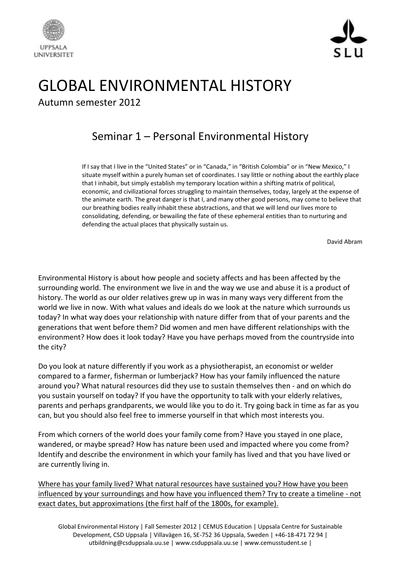



## GLOBAL ENVIRONMENTAL HISTORY Autumn semester 2012

## Seminar 1 – Personal Environmental History

If I say that I live in the "United States" or in "Canada," in "British Colombia" or in "New Mexico," I situate myself within a purely human set of coordinates. I say little or nothing about the earthly place that I inhabit, but simply establish my temporary location within a shifting matrix of political, economic, and civilizational forces struggling to maintain themselves, today, largely at the expense of the animate earth. The great danger is that I, and many other good persons, may come to believe that our breathing bodies really inhabit these abstractions, and that we will lend our lives more to consolidating, defending, or bewailing the fate of these ephemeral entities than to nurturing and defending the actual places that physically sustain us.

David Abram

Environmental History is about how people and society affects and has been affected by the surrounding world. The environment we live in and the way we use and abuse it is a product of history. The world as our older relatives grew up in was in many ways very different from the world we live in now. With what values and ideals do we look at the nature which surrounds us today? In what way does your relationship with nature differ from that of your parents and the generations that went before them? Did women and men have different relationships with the environment? How does it look today? Have you have perhaps moved from the countryside into the city?

Do you look at nature differently if you work as a physiotherapist, an economist or welder compared to a farmer, fisherman or lumberjack? How has your family influenced the nature around you? What natural resources did they use to sustain themselves then - and on which do you sustain yourself on today? If you have the opportunity to talk with your elderly relatives, parents and perhaps grandparents, we would like you to do it. Try going back in time as far as you can, but you should also feel free to immerse yourself in that which most interests you.

From which corners of the world does your family come from? Have you stayed in one place, wandered, or maybe spread? How has nature been used and impacted where you come from? Identify and describe the environment in which your family has lived and that you have lived or are currently living in.

Where has your family lived? What natural resources have sustained you? How have you been influenced by your surroundings and how have you influenced them? Try to create a timeline - not exact dates, but approximations (the first half of the 1800s, for example).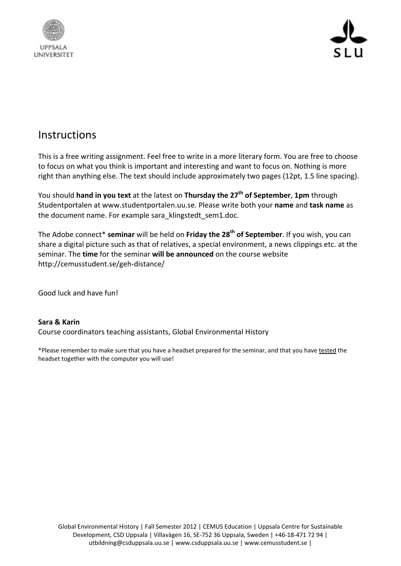



## **Instructions**

This is a free writing assignment. Feel free to write in a more literary form. You are free to choose to focus on what you think is important and interesting and want to focus on. Nothing is more right than anything else. The text should include approximately two pages (12pt, 1.5 line spacing).

You should **hand in you text** at the latest on **Thursday the 27th of September**, **1pm** through Studentportalen at www.studentportalen.uu.se. Please write both your **name** and **task name** as the document name. For example sara\_klingstedt\_sem1.doc.

The Adobe connect\* **seminar** will be held on **Friday the 28th of September**. If you wish, you can share a digital picture such as that of relatives, a special environment, a news clippings etc. at the seminar. The **time** for the seminar **will be announced** on the course website http://cemusstudent.se/geh-distance/

Good luck and have fun!

## **Sara & Karin**

Course coordinators teaching assistants, Global Environmental History

\*Please remember to make sure that you have a headset prepared for the seminar, and that you have tested the headset together with the computer you will use!